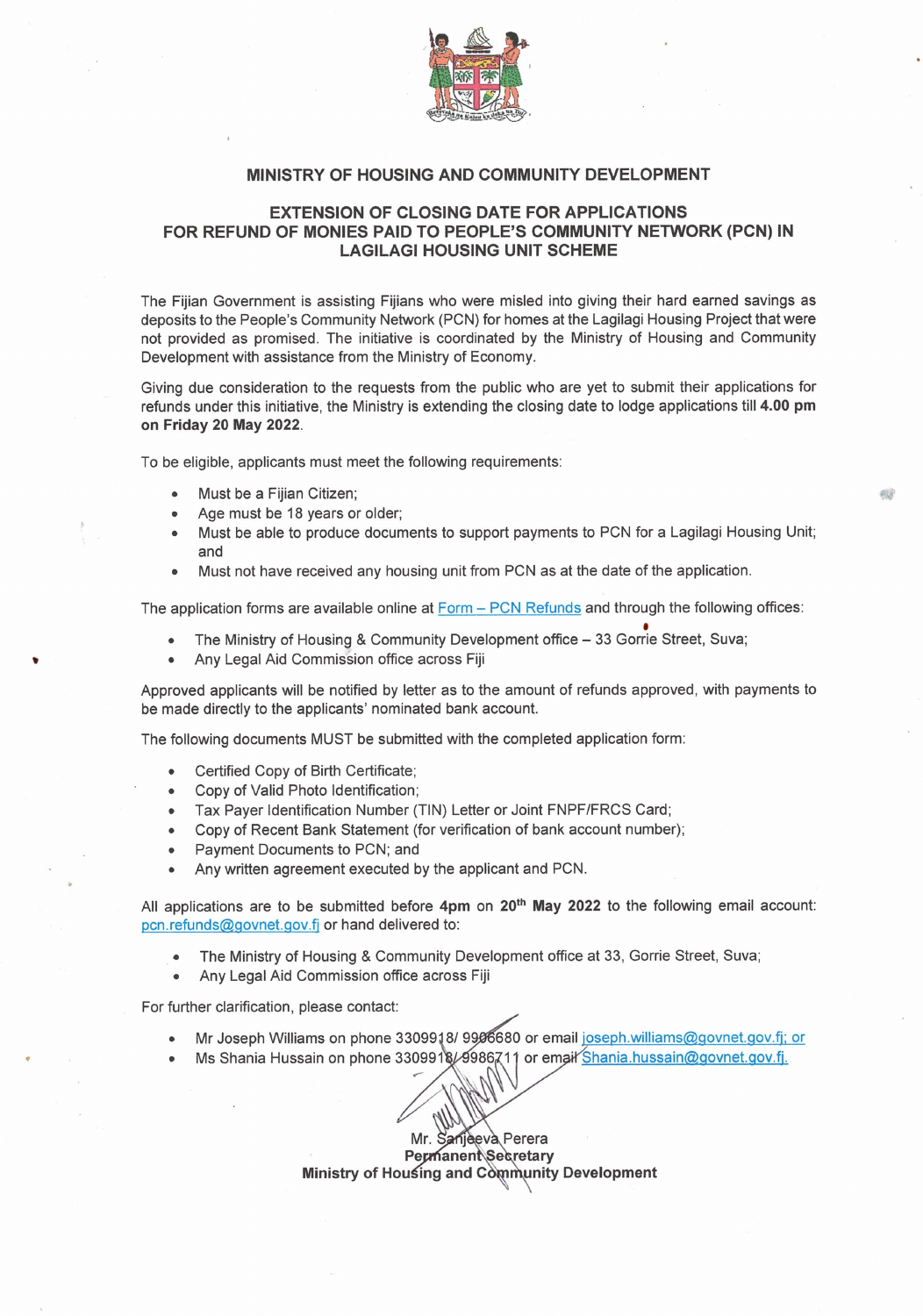

#### MINISTRY OF HOUSING AND COMMUNITY DEVELOPMENT

#### **EXTENSION OF CLOSING DATE FOR APPLICATIONS** FOR REFUND OF MONIES PAID TO PEOPLE'S COMMUNITY NETWORK (PCN) IN **LAGILAGI HOUSING UNIT SCHEME**

The Fijian Government is assisting Fijians who were misled into giving their hard earned savings as deposits to the People's Community Network (PCN) for homes at the Lagilagi Housing Project that were not provided as promised. The initiative is coordinated by the Ministry of Housing and Community Development with assistance from the Ministry of Economy.

Giving due consideration to the requests from the public who are yet to submit their applications for refunds under this initiative, the Ministry is extending the closing date to lodge applications till 4.00 pm on Friday 20 May 2022.

To be eligible, applicants must meet the following requirements:

- Must be a Fijian Citizen;
- Age must be 18 years or older;
- Must be able to produce documents to support payments to PCN for a Lagilagi Housing Unit; and
- Must not have received any housing unit from PCN as at the date of the application.

The application forms are available online at Form - PCN Refunds and through the following offices:

- The Ministry of Housing & Community Development office 33 Gorrie Street, Suva;
- Any Legal Aid Commission office across Fiji

Approved applicants will be notified by letter as to the amount of refunds approved, with payments to be made directly to the applicants' nominated bank account.

The following documents MUST be submitted with the completed application form:

- Certified Copy of Birth Certificate;
- Copy of Valid Photo Identification;
- Tax Payer Identification Number (TIN) Letter or Joint FNPF/FRCS Card;
- Copy of Recent Bank Statement (for verification of bank account number);
- Payment Documents to PCN; and
- Any written agreement executed by the applicant and PCN.

All applications are to be submitted before  $4\text{pm}$  on  $20\text{th}$  May 2022 to the following email account: pcn.refunds@govnet.gov.fj or hand delivered to:

- The Ministry of Housing & Community Development office at 33, Gorrie Street, Suva;
- Any Legal Aid Commission office across Fiji

For further clarification, please contact:

- Mr Joseph Williams on phone 3309918/9996680 or email joseph.williams@govnet.gov.fj; or
- Ms Shania Hussain on phone 3309918/9986711 or email Shania.hussain@govnet.gov.fj.

Mr. Sanjeeva Perera **Permanent Secretary** Ministry of Housing and Community Development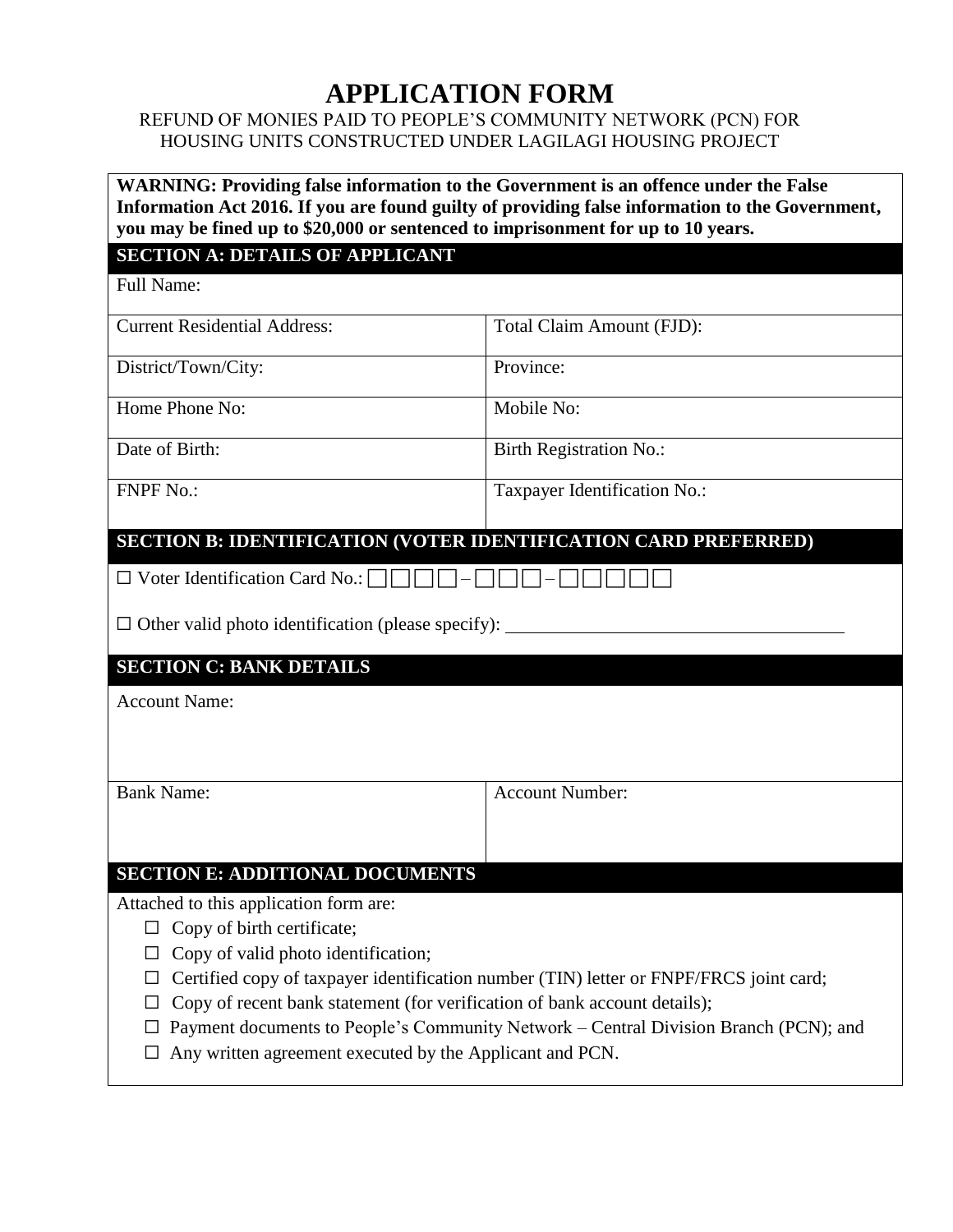# **APPLICATION FORM**

#### REFUND OF MONIES PAID TO PEOPLE'S COMMUNITY NETWORK (PCN) FOR HOUSING UNITS CONSTRUCTED UNDER LAGILAGI HOUSING PROJECT

#### **WARNING: Providing false information to the Government is an offence under the False Information Act 2016. If you are found guilty of providing false information to the Government, you may be fined up to \$20,000 or sentenced to imprisonment for up to 10 years.**

#### **SECTION A: DETAILS OF APPLICANT**

| <b>Full Name:</b> |  |
|-------------------|--|
|-------------------|--|

| <b>Current Residential Address:</b> | Total Claim Amount (FJD):    |
|-------------------------------------|------------------------------|
| District/Town/City:                 | Province:                    |
| Home Phone No:                      | Mobile No:                   |
| Date of Birth:                      | Birth Registration No.:      |
| <b>FNPF No.:</b>                    | Taxpayer Identification No.: |

### **SECTION B: IDENTIFICATION (VOTER IDENTIFICATION CARD PREFERRED)**

|--|--|--|--|--|--|--|

 $\Box$  Other valid photo identification (please specify):

### **SECTION C: BANK DETAILS**

Account Name:

Bank Name: Account Number:

## **SECTION E: ADDITIONAL DOCUMENTS**

Attached to this application form are:

- $\Box$  Copy of birth certificate;
- $\Box$  Copy of valid photo identification;
- $\Box$  Certified copy of taxpayer identification number (TIN) letter or FNPF/FRCS joint card;
- $\Box$  Copy of recent bank statement (for verification of bank account details);
- $\Box$  Payment documents to People's Community Network Central Division Branch (PCN); and
- $\Box$  Any written agreement executed by the Applicant and PCN.